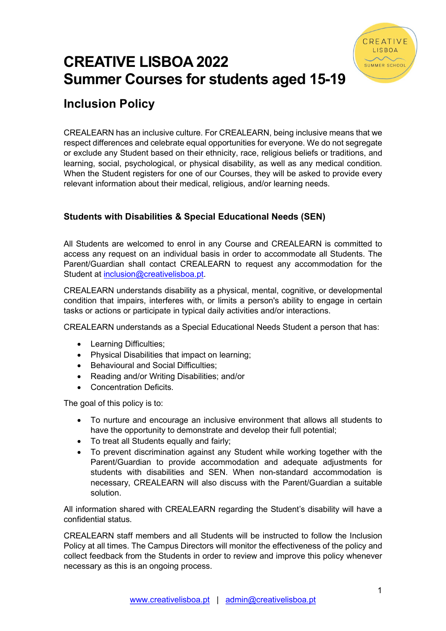

## CREATIVE LISBOA 2022 Summer Courses for students aged 15-19

## Inclusion Policy

CREALEARN has an inclusive culture. For CREALEARN, being inclusive means that we respect differences and celebrate equal opportunities for everyone. We do not segregate or exclude any Student based on their ethnicity, race, religious beliefs or traditions, and learning, social, psychological, or physical disability, as well as any medical condition. When the Student registers for one of our Courses, they will be asked to provide every relevant information about their medical, religious, and/or learning needs.

## Students with Disabilities & Special Educational Needs (SEN)

All Students are welcomed to enrol in any Course and CREALEARN is committed to access any request on an individual basis in order to accommodate all Students. The Parent/Guardian shall contact CREALEARN to request any accommodation for the Student at inclusion@creativelisboa.pt.

CREALEARN understands disability as a physical, mental, cognitive, or developmental condition that impairs, interferes with, or limits a person's ability to engage in certain tasks or actions or participate in typical daily activities and/or interactions.

CREALEARN understands as a Special Educational Needs Student a person that has:

- Learning Difficulties;
- Physical Disabilities that impact on learning;
- Behavioural and Social Difficulties:
- Reading and/or Writing Disabilities: and/or
- Concentration Deficits.

The goal of this policy is to:

- To nurture and encourage an inclusive environment that allows all students to have the opportunity to demonstrate and develop their full potential;
- To treat all Students equally and fairly;
- To prevent discrimination against any Student while working together with the Parent/Guardian to provide accommodation and adequate adjustments for students with disabilities and SEN. When non-standard accommodation is necessary, CREALEARN will also discuss with the Parent/Guardian a suitable solution.

All information shared with CREALEARN regarding the Student's disability will have a confidential status.

CREALEARN staff members and all Students will be instructed to follow the Inclusion Policy at all times. The Campus Directors will monitor the effectiveness of the policy and collect feedback from the Students in order to review and improve this policy whenever necessary as this is an ongoing process.